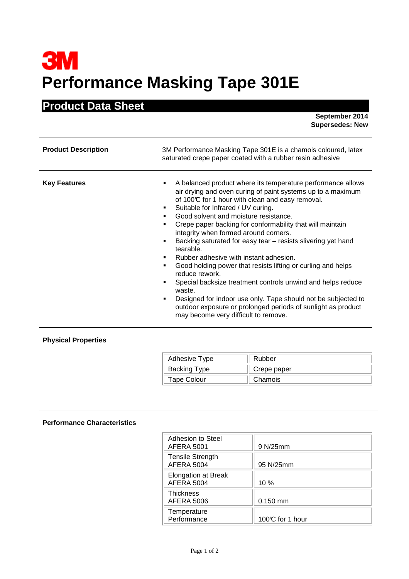## **3M Performance Masking Tape 301E**

## **Product Data Sheet**

 **September 2014 Supersedes: New** 

| <b>Product Description</b> | 3M Performance Masking Tape 301E is a chamois coloured, latex<br>saturated crepe paper coated with a rubber resin adhesive                                                                                                                                                                                                                                                                                                                                                                                                                                                                                                                                                                                                                                                                                                                              |
|----------------------------|---------------------------------------------------------------------------------------------------------------------------------------------------------------------------------------------------------------------------------------------------------------------------------------------------------------------------------------------------------------------------------------------------------------------------------------------------------------------------------------------------------------------------------------------------------------------------------------------------------------------------------------------------------------------------------------------------------------------------------------------------------------------------------------------------------------------------------------------------------|
| <b>Key Features</b>        | A balanced product where its temperature performance allows<br>air drying and oven curing of paint systems up to a maximum<br>of 100°C for 1 hour with clean and easy removal.<br>Suitable for Infrared / UV curing.<br>٠<br>Good solvent and moisture resistance.<br>Crepe paper backing for conformability that will maintain<br>integrity when formed around corners.<br>Backing saturated for easy tear - resists slivering yet hand<br>tearable.<br>Rubber adhesive with instant adhesion.<br>٠<br>Good holding power that resists lifting or curling and helps<br>٠<br>reduce rework.<br>Special backsize treatment controls unwind and helps reduce<br>٠<br>waste.<br>Designed for indoor use only. Tape should not be subjected to<br>٠<br>outdoor exposure or prolonged periods of sunlight as product<br>may become very difficult to remove. |

## **Physical Properties**

| Adhesive Type | Rubber      |
|---------------|-------------|
| Backing Type  | Crepe paper |
| Tape Colour   | Chamois     |

## **Performance Characteristics**

| Adhesion to Steel<br><b>AFERA 5001</b>          | 9 N/25mm        |
|-------------------------------------------------|-----------------|
| <b>Tensile Strength</b><br><b>AFERA 5004</b>    | 95 N/25mm       |
| <b>Elongation at Break</b><br><b>AFERA 5004</b> | 10%             |
| <b>Thickness</b><br>AFERA 5006                  | $0.150$ mm      |
| Temperature<br>Performance                      | 100℃ for 1 hour |